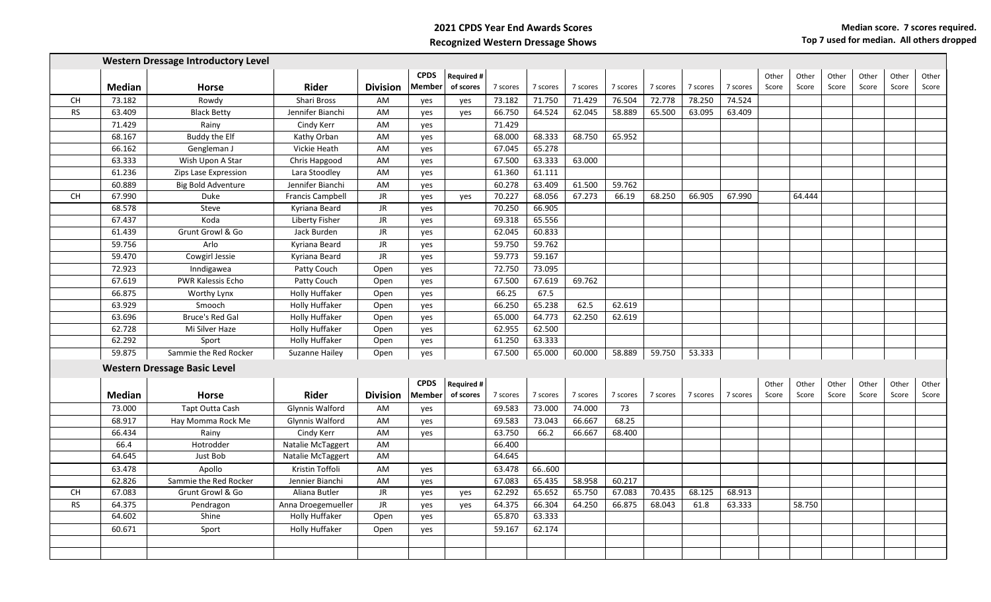**2021 CPDS Year End Awards Scores Recognized Western Dressage Shows**

|           |               | <b>Western Dressage Introductory Level</b> |                         |                 |               |                   |          |          |          |          |          |          |          |       |        |       |       |       |       |
|-----------|---------------|--------------------------------------------|-------------------------|-----------------|---------------|-------------------|----------|----------|----------|----------|----------|----------|----------|-------|--------|-------|-------|-------|-------|
|           |               |                                            |                         |                 | <b>CPDS</b>   | <b>Required #</b> |          |          |          |          |          |          |          | Other | Other  | Other | Other | Other | Other |
|           | <b>Median</b> | <b>Horse</b>                               | <b>Rider</b>            | <b>Division</b> | <b>Member</b> | of scores         | 7 scores | 7 scores | 7 scores | 7 scores | 7 scores | 7 scores | 7 scores | Score | Score  | Score | Score | Score | Score |
| <b>CH</b> | 73.182        | Rowdy                                      | Shari Bross             | AM              | yes           | yes               | 73.182   | 71.750   | 71.429   | 76.504   | 72.778   | 78.250   | 74.524   |       |        |       |       |       |       |
| <b>RS</b> | 63.409        | <b>Black Betty</b>                         | Jennifer Bianchi        | AM              | yes           | yes               | 66.750   | 64.524   | 62.045   | 58.889   | 65.500   | 63.095   | 63.409   |       |        |       |       |       |       |
|           | 71.429        | Rainy                                      | Cindy Kerr              | AM              | yes           |                   | 71.429   |          |          |          |          |          |          |       |        |       |       |       |       |
|           | 68.167        | Buddy the Elf                              | Kathy Orban             | AM              | yes           |                   | 68.000   | 68.333   | 68.750   | 65.952   |          |          |          |       |        |       |       |       |       |
|           | 66.162        | Gengleman J                                | Vickie Heath            | AM              | yes           |                   | 67.045   | 65.278   |          |          |          |          |          |       |        |       |       |       |       |
|           | 63.333        | Wish Upon A Star                           | Chris Hapgood           | AM              | yes           |                   | 67.500   | 63.333   | 63.000   |          |          |          |          |       |        |       |       |       |       |
|           | 61.236        | Zips Lase Expression                       | Lara Stoodley           | AM              | yes           |                   | 61.360   | 61.111   |          |          |          |          |          |       |        |       |       |       |       |
|           | 60.889        | <b>Big Bold Adventure</b>                  | Jennifer Bianchi        | AM              | ves           |                   | 60.278   | 63.409   | 61.500   | 59.762   |          |          |          |       |        |       |       |       |       |
| <b>CH</b> | 67.990        | Duke                                       | <b>Francis Campbell</b> | JR              | yes           | yes               | 70.227   | 68.056   | 67.273   | 66.19    | 68.250   | 66.905   | 67.990   |       | 64.444 |       |       |       |       |
|           | 68.578        | Steve                                      | Kyriana Beard           | JR              | yes           |                   | 70.250   | 66.905   |          |          |          |          |          |       |        |       |       |       |       |
|           | 67.437        | Koda                                       | Liberty Fisher          | <b>JR</b>       | yes           |                   | 69.318   | 65.556   |          |          |          |          |          |       |        |       |       |       |       |
|           | 61.439        | Grunt Growl & Go                           | Jack Burden             | <b>JR</b>       | yes           |                   | 62.045   | 60.833   |          |          |          |          |          |       |        |       |       |       |       |
|           | 59.756        | Arlo                                       | Kyriana Beard           | JR              | yes           |                   | 59.750   | 59.762   |          |          |          |          |          |       |        |       |       |       |       |
|           | 59.470        | Cowgirl Jessie                             | Kyriana Beard           | JR              | yes           |                   | 59.773   | 59.167   |          |          |          |          |          |       |        |       |       |       |       |
|           | 72.923        | Inndigawea                                 | Patty Couch             | Open            | yes           |                   | 72.750   | 73.095   |          |          |          |          |          |       |        |       |       |       |       |
|           | 67.619        | <b>PWR Kalessis Echo</b>                   | Patty Couch             | Open            | yes           |                   | 67.500   | 67.619   | 69.762   |          |          |          |          |       |        |       |       |       |       |
|           | 66.875        | Worthy Lynx                                | <b>Holly Huffaker</b>   | Open            | yes           |                   | 66.25    | 67.5     |          |          |          |          |          |       |        |       |       |       |       |
|           | 63.929        | Smooch                                     | <b>Holly Huffaker</b>   | Open            | yes           |                   | 66.250   | 65.238   | 62.5     | 62.619   |          |          |          |       |        |       |       |       |       |
|           | 63.696        | <b>Bruce's Red Gal</b>                     | <b>Holly Huffaker</b>   | Open            | yes           |                   | 65.000   | 64.773   | 62.250   | 62.619   |          |          |          |       |        |       |       |       |       |
|           | 62.728        | Mi Silver Haze                             | <b>Holly Huffaker</b>   | Open            | yes           |                   | 62.955   | 62.500   |          |          |          |          |          |       |        |       |       |       |       |
|           | 62.292        | Sport                                      | <b>Holly Huffaker</b>   | Open            | yes           |                   | 61.250   | 63.333   |          |          |          |          |          |       |        |       |       |       |       |
|           | 59.875        | Sammie the Red Rocker                      | Suzanne Hailey          | Open            | yes           |                   | 67.500   | 65.000   | 60.000   | 58.889   | 59.750   | 53.333   |          |       |        |       |       |       |       |
|           |               | <b>Western Dressage Basic Level</b>        |                         |                 |               |                   |          |          |          |          |          |          |          |       |        |       |       |       |       |
|           |               |                                            |                         |                 | <b>CPDS</b>   | <b>Required#</b>  |          |          |          |          |          |          |          | Other | Other  | Other | Other | Other | Other |
|           | <b>Median</b> | <b>Horse</b>                               | Rider                   | <b>Division</b> | <b>Member</b> | of scores         | 7 scores | 7 scores | 7 scores | 7 scores | 7 scores | 7 scores | 7 scores | Score | Score  | Score | Score | Score | Score |
|           | 73.000        | Tapt Outta Cash                            | Glynnis Walford         | AM              | yes           |                   | 69.583   | 73.000   | 74.000   | 73       |          |          |          |       |        |       |       |       |       |
|           | 68.917        | Hay Momma Rock Me                          | Glynnis Walford         | AM              | yes           |                   | 69.583   | 73.043   | 66.667   | 68.25    |          |          |          |       |        |       |       |       |       |
|           | 66.434        | Rainy                                      | Cindy Kerr              | AM              | yes           |                   | 63.750   | 66.2     | 66.667   | 68.400   |          |          |          |       |        |       |       |       |       |
|           | 66.4          | Hotrodder                                  | Natalie McTaggert       | AM              |               |                   | 66.400   |          |          |          |          |          |          |       |        |       |       |       |       |
|           | 64.645        | Just Bob                                   | Natalie McTaggert       | AM              |               |                   | 64.645   |          |          |          |          |          |          |       |        |       |       |       |       |
|           | 63.478        | Apollo                                     | Kristin Toffoli         | AM              | yes           |                   | 63.478   | 66600    |          |          |          |          |          |       |        |       |       |       |       |
|           | 62.826        | Sammie the Red Rocker                      | Jennier Bianchi         | AM              | yes           |                   | 67.083   | 65.435   | 58.958   | 60.217   |          |          |          |       |        |       |       |       |       |
| <b>CH</b> | 67.083        | Grunt Growl & Go                           | Aliana Butler           | JR.             | yes           | yes               | 62.292   | 65.652   | 65.750   | 67.083   | 70.435   | 68.125   | 68.913   |       |        |       |       |       |       |
| <b>RS</b> | 64.375        | Pendragon                                  | Anna Droegemueller      | <b>JR</b>       | yes           | yes               | 64.375   | 66.304   | 64.250   | 66.875   | 68.043   | 61.8     | 63.333   |       | 58.750 |       |       |       |       |
|           | 64.602        | Shine                                      | <b>Holly Huffaker</b>   | Open            | yes           |                   | 65.870   | 63.333   |          |          |          |          |          |       |        |       |       |       |       |
|           | 60.671        | Sport                                      | <b>Holly Huffaker</b>   | Open            | yes           |                   | 59.167   | 62.174   |          |          |          |          |          |       |        |       |       |       |       |
|           |               |                                            |                         |                 |               |                   |          |          |          |          |          |          |          |       |        |       |       |       |       |
|           |               |                                            |                         |                 |               |                   |          |          |          |          |          |          |          |       |        |       |       |       |       |